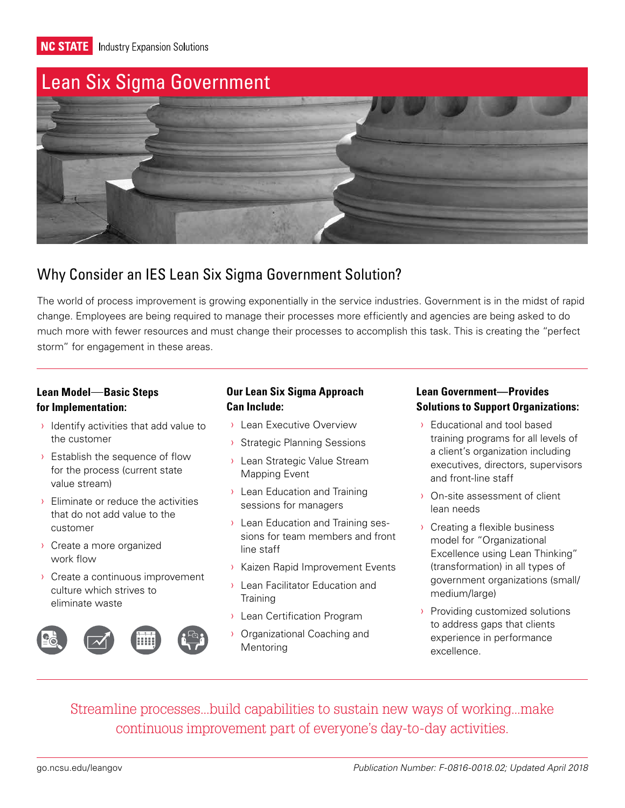**NC STATE** Industry Expansion Solutions



## Why Consider an IES Lean Six Sigma Government Solution?

The world of process improvement is growing exponentially in the service industries. Government is in the midst of rapid change. Employees are being required to manage their processes more efficiently and agencies are being asked to do much more with fewer resources and must change their processes to accomplish this task. This is creating the "perfect storm" for engagement in these areas.

### **Lean Model**—**Basic Steps for Implementation:**

- › Identify activities that add value to the customer
- › Establish the sequence of flow for the process (current state value stream)
- › Eliminate or reduce the activities that do not add value to the customer
- › Create a more organized work flow
- › Create a continuous improvement culture which strives to eliminate waste



### **Our Lean Six Sigma Approach Can Include:**

- › Lean Executive Overview
- › Strategic Planning Sessions
- › Lean Strategic Value Stream Mapping Event
- › Lean Education and Training sessions for managers
- › Lean Education and Training sessions for team members and front line staff
- › Kaizen Rapid Improvement Events
- › Lean Facilitator Education and **Training**
- › Lean Certification Program
- › Organizational Coaching and **Mentoring**

### **Lean Government—Provides Solutions to Support Organizations:**

- › Educational and tool based training programs for all levels of a client's organization including executives, directors, supervisors and front-line staff
- › On-site assessment of client lean needs
- › Creating a flexible business model for "Organizational Excellence using Lean Thinking" (transformation) in all types of government organizations (small/ medium/large)
- › Providing customized solutions to address gaps that clients experience in performance excellence.

Streamline processes...build capabilities to sustain new ways of working...make continuous improvement part of everyone's day-to-day activities.